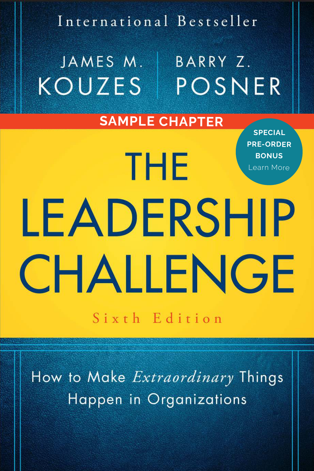International Bestseller JAMES M. BARRY Z. KOUZES POSNER

#### **SAMPLE CHAPTER**

**SPECIAL [PRE-ORDER](#page-30-0)  BONUS** Learn More

# THE LEADERSHIP CHALLENGE

Sixth Edition

How to Make *Extraordinary* Things **Happen in Organizations**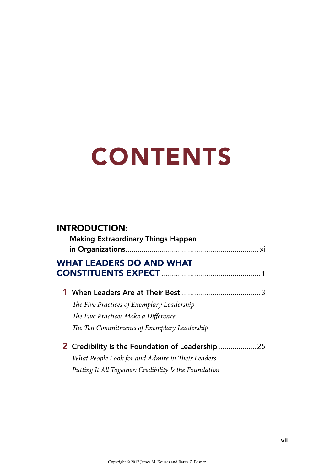# CONTENTS

#### INTRODUCTION:

|                          | <b>Making Extraordinary Things Happen</b>              |  |
|--------------------------|--------------------------------------------------------|--|
| WHAT LEADERS DO AND WHAT |                                                        |  |
|                          |                                                        |  |
|                          | The Five Practices of Exemplary Leadership             |  |
|                          | The Five Practices Make a Difference                   |  |
|                          | The Ten Commitments of Exemplary Leadership            |  |
|                          | 2 Credibility Is the Foundation of Leadership 25       |  |
|                          | What People Look for and Admire in Their Leaders       |  |
|                          | Putting It All Together: Credibility Is the Foundation |  |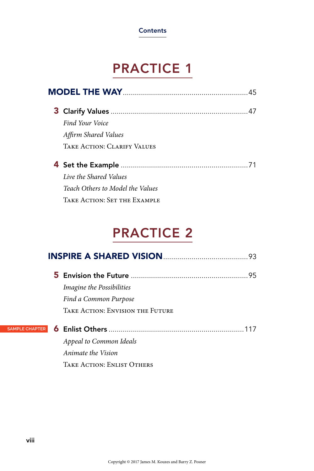

## PRACTICE 1

|  | <b>Find Your Voice</b>           |
|--|----------------------------------|
|  | Affirm Shared Values             |
|  | TAKE ACTION: CLARIFY VALUES      |
|  |                                  |
|  | Live the Shared Values           |
|  | Teach Others to Model the Values |
|  | TAKE ACTION: SET THE EXAMPLE     |

### PRACTICE 2

| Imagine the Possibilities        |  |
|----------------------------------|--|
| Find a Common Purpose            |  |
| TAKE ACTION: ENVISION THE FUTURE |  |
|                                  |  |

**SAMPLE CHAPTER**

| Appeal to Common Ideals    |  |
|----------------------------|--|
| Animate the Vision         |  |
| TAKE ACTION: ENLIST OTHERS |  |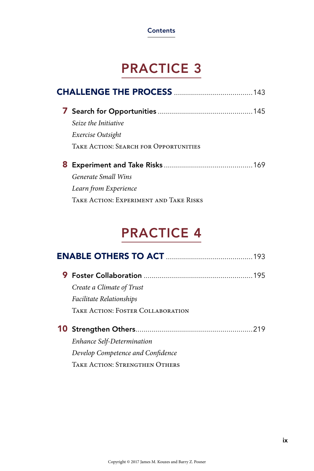

### PRACTICE 3

|  | Seize the Initiative                   |
|--|----------------------------------------|
|  | Exercise Outsight                      |
|  | TAKE ACTION: SEARCH FOR OPPORTUNITIES  |
|  |                                        |
|  | <b>Generate Small Wins</b>             |
|  | Learn from Experience                  |
|  | TAKE ACTION: EXPERIMENT AND TAKE RISKS |

## PRACTICE 4

|--|--|

|                                   | 195 |
|-----------------------------------|-----|
| Create a Climate of Trust         |     |
| Facilitate Relationships          |     |
| TAKE ACTION: FOSTER COLLABORATION |     |
|                                   | 219 |
| Enhance Self-Determination        |     |
| Develop Competence and Confidence |     |

Take Action: Strengthen Others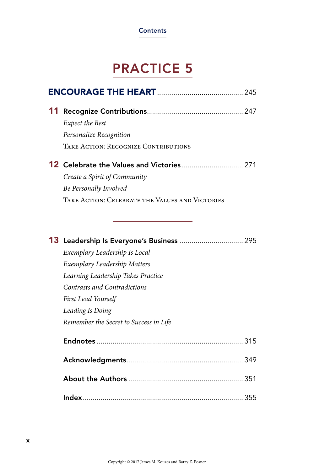

## PRACTICE 5

| 11 | <b>Expect the Best</b><br>Personalize Recognition<br>TAKE ACTION: RECOGNIZE CONTRIBUTIONS                                                                  |  |
|----|------------------------------------------------------------------------------------------------------------------------------------------------------------|--|
|    | Create a Spirit of Community<br><b>Be Personally Involved</b><br>TAKE ACTION: CELEBRATE THE VALUES AND VICTORIES                                           |  |
|    | Exemplary Leadership Is Local<br>Exemplary Leadership Matters<br>Learning Leadership Takes Practice<br>Contrasts and Contradictions<br>First Lead Yourself |  |
|    | Leading Is Doing<br>Remember the Secret to Success in Life                                                                                                 |  |
|    |                                                                                                                                                            |  |
|    |                                                                                                                                                            |  |
|    |                                                                                                                                                            |  |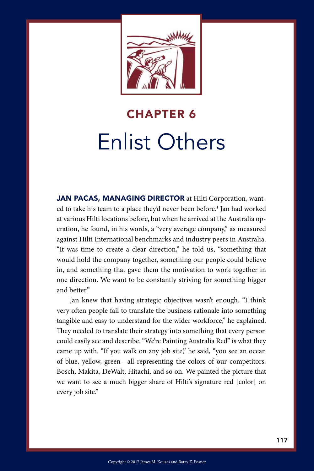<span id="page-5-0"></span>

# CHAPTER 6 Enlist Others

JAN PACAS, MANAGING DIRECTOR at Hilti Corporation, wanted to take his team to a place they'd never been before.<sup>1</sup> Jan had worked at various Hilti locations before, but when he arrived at the Australia operation, he found, in his words, a "very average company," as measured against Hilti International benchmarks and industry peers in Australia. "It was time to create a clear direction," he told us, "something that would hold the company together, something our people could believe in, and something that gave them the motivation to work together in one direction. We want to be constantly striving for something bigger and better"

Jan knew that having strategic objectives wasn't enough. "I think very often people fail to translate the business rationale into something tangible and easy to understand for the wider workforce," he explained. They needed to translate their strategy into something that every person could easily see and describe. "We're Painting Australia Red" is what they came up with. "If you walk on any job site," he said, "you see an ocean of blue, yellow, green—all representing the colors of our competitors: Bosch, Makita, DeWalt, Hitachi, and so on. We painted the picture that we want to see a much bigger share of Hilti's signature red [color] on every job site."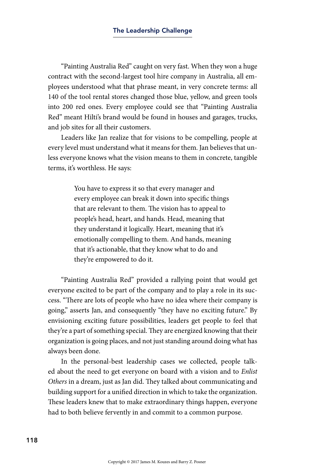"Painting Australia Red" caught on very fast. When they won a huge contract with the second-largest tool hire company in Australia, all employees understood what that phrase meant, in very concrete terms: all 140 of the tool rental stores changed those blue, yellow, and green tools into 200 red ones. Every employee could see that "Painting Australia Red" meant Hilti's brand would be found in houses and garages, trucks, and job sites for all their customers.

Leaders like Jan realize that for visions to be compelling, people at every level must understand what it means for them. Jan believes that unless everyone knows what the vision means to them in concrete, tangible terms, it's worthless. He says:

> You have to express it so that every manager and every employee can break it down into specific things that are relevant to them. The vision has to appeal to people's head, heart, and hands. Head, meaning that they understand it logically. Heart, meaning that it's emotionally compelling to them. And hands, meaning that it's actionable, that they know what to do and they're empowered to do it.

"Painting Australia Red" provided a rallying point that would get everyone excited to be part of the company and to play a role in its success. "There are lots of people who have no idea where their company is going," asserts Jan, and consequently "they have no exciting future." By envisioning exciting future possibilities, leaders get people to feel that they're a part of something special. They are energized knowing that their organization is going places, and not just standing around doing what has always been done.

In the personal-best leadership cases we collected, people talked about the need to get everyone on board with a vision and to Enlist Others in a dream, just as Jan did. They talked about communicating and building support for a unified direction in which to take the organization. These leaders knew that to make extraordinary things happen, everyone had to both believe fervently in and commit to a common purpose.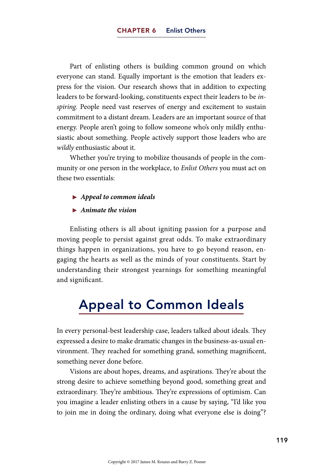Part of enlisting others is building common ground on which everyone can stand. Equally important is the emotion that leaders express for the vision. Our research shows that in addition to expecting leaders to be forward-looking, constituents expect their leaders to be inspiring. People need vast reserves of energy and excitement to sustain commitment to a distant dream. Leaders are an important source of that energy. People aren't going to follow someone who's only mildly enthusiastic about something. People actively support those leaders who are wildly enthusiastic about it.

Whether you're trying to mobilize thousands of people in the community or one person in the workplace, to *Enlist Others* you must act on these two essentials:

- **Appeal to common ideals**
- **Animate the vision**

Enlisting others is all about igniting passion for a purpose and moving people to persist against great odds. To make extraordinary things happen in organizations, you have to go beyond reason, engaging the hearts as well as the minds of your constituents. Start by understanding their strongest yearnings for something meaningful and significant.

#### Appeal to Common Ideals

In every personal-best leadership case, leaders talked about ideals. They expressed a desire to make dramatic changes in the business-as-usual environment. They reached for something grand, something magnificent, something never done before.

Visions are about hopes, dreams, and aspirations. They're about the strong desire to achieve something beyond good, something great and extraordinary. They're ambitious. They're expressions of optimism. Can you imagine a leader enlisting others in a cause by saying, "I'd like you to join me in doing the ordinary, doing what everyone else is doing"?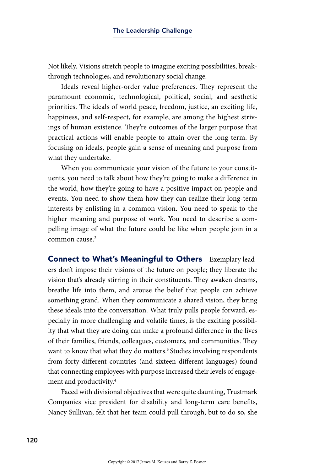Not likely. Visions stretch people to imagine exciting possibilities, breakthrough technologies, and revolutionary social change.

Ideals reveal higher-order value preferences. They represent the paramount economic, technological, political, social, and aesthetic priorities. The ideals of world peace, freedom, justice, an exciting life, happiness, and self-respect, for example, are among the highest strivings of human existence. They're outcomes of the larger purpose that practical actions will enable people to attain over the long term. By focusing on ideals, people gain a sense of meaning and purpose from what they undertake.

When you communicate your vision of the future to your constituents, you need to talk about how they're going to make a difference in the world, how they're going to have a positive impact on people and events. You need to show them how they can realize their long-term interests by enlisting in a common vision. You need to speak to the higher meaning and purpose of work. You need to describe a compelling image of what the future could be like when people join in a common cause.<sup>2</sup>

Connect to What's Meaningful to Others Exemplary leaders don't impose their visions of the future on people; they liberate the vision that's already stirring in their constituents. They awaken dreams, breathe life into them, and arouse the belief that people can achieve something grand. When they communicate a shared vision, they bring these ideals into the conversation. What truly pulls people forward, especially in more challenging and volatile times, is the exciting possibility that what they are doing can make a profound difference in the lives of their families, friends, colleagues, customers, and communities. They want to know that what they do matters.<sup>3</sup> Studies involving respondents from forty different countries (and sixteen different languages) found that connecting employees with purpose increased their levels of engagement and productivity.<sup>4</sup>

Faced with divisional objectives that were quite daunting, Trustmark Companies vice president for disability and long-term care benefits, Nancy Sullivan, felt that her team could pull through, but to do so, she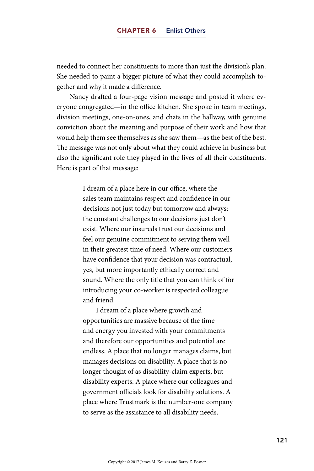needed to connect her constituents to more than just the division's plan. She needed to paint a bigger picture of what they could accomplish together and why it made a difference.

Nancy drafted a four-page vision message and posted it where everyone congregated—in the office kitchen. She spoke in team meetings, division meetings, one-on-ones, and chats in the hallway, with genuine conviction about the meaning and purpose of their work and how that would help them see themselves as she saw them—as the best of the best. The message was not only about what they could achieve in business but also the significant role they played in the lives of all their constituents. Here is part of that message:

> I dream of a place here in our office, where the sales team maintains respect and confidence in our decisions not just today but tomorrow and always; the constant challenges to our decisions just don't exist. Where our insureds trust our decisions and feel our genuine commitment to serving them well in their greatest time of need. Where our customers have confidence that your decision was contractual, yes, but more importantly ethically correct and sound. Where the only title that you can think of for introducing your co-worker is respected colleague and friend.

> I dream of a place where growth and opportunities are massive because of the time and energy you invested with your commitments and therefore our opportunities and potential are endless. A place that no longer manages claims, but manages decisions on disability. A place that is no longer thought of as disability-claim experts, but disability experts. A place where our colleagues and government officials look for disability solutions. A place where Trustmark is the number-one company to serve as the assistance to all disability needs.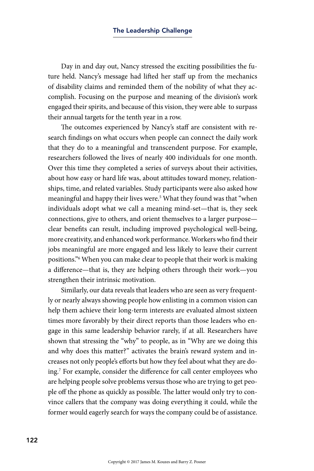Day in and day out, Nancy stressed the exciting possibilities the future held. Nancy's message had lifted her staff up from the mechanics of disability claims and reminded them of the nobility of what they accomplish. Focusing on the purpose and meaning of the division's work engaged their spirits, and because of this vision, they were able to surpass their annual targets for the tenth year in a row.

The outcomes experienced by Nancy's staff are consistent with research findings on what occurs when people can connect the daily work that they do to a meaningful and transcendent purpose. For example, researchers followed the lives of nearly 400 individuals for one month. Over this time they completed a series of surveys about their activities, about how easy or hard life was, about attitudes toward money, relationships, time, and related variables. Study participants were also asked how meaningful and happy their lives were.<sup>5</sup> What they found was that "when individuals adopt what we call a meaning mind-set—that is, they seek connections, give to others, and orient themselves to a larger purpose clear benefits can result, including improved psychological well-being, more creativity, and enhanced work performance. Workers who find their jobs meaningful are more engaged and less likely to leave their current positions."<sup>6</sup> When you can make clear to people that their work is making a difference—that is, they are helping others through their work—you strengthen their intrinsic motivation.

Similarly, our data reveals that leaders who are seen as very frequently or nearly always showing people how enlisting in a common vision can help them achieve their long-term interests are evaluated almost sixteen times more favorably by their direct reports than those leaders who engage in this same leadership behavior rarely, if at all. Researchers have shown that stressing the "why" to people, as in "Why are we doing this and why does this matter?" activates the brain's reward system and increases not only people's efforts but how they feel about what they are doing.<sup>7</sup> For example, consider the difference for call center employees who are helping people solve problems versus those who are trying to get people off the phone as quickly as possible. The latter would only try to convince callers that the company was doing everything it could, while the former would eagerly search for ways the company could be of assistance.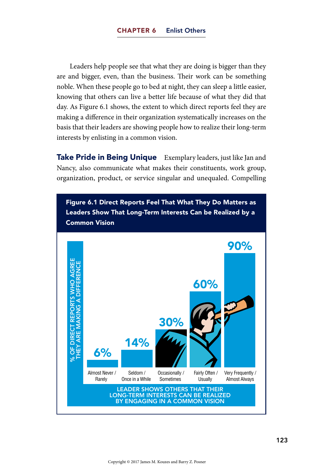Leaders help people see that what they are doing is bigger than they are and bigger, even, than the business. Their work can be something noble. When these people go to bed at night, they can sleep a little easier, knowing that others can live a better life because of what they did that day. As Figure 6.1 shows, the extent to which direct reports feel they are making a difference in their organization systematically increases on the basis that their leaders are showing people how to realize their long-term interests by enlisting in a common vision.

Take Pride in Being Unique Exemplary leaders, just like Jan and Nancy, also communicate what makes their constituents, work group, organization, product, or service singular and unequaled. Compelling

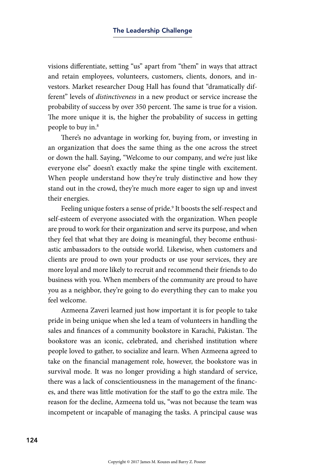visions differentiate, setting "us" apart from "them" in ways that attract and retain employees, volunteers, customers, clients, donors, and investors. Market researcher Doug Hall has found that "dramatically different" levels of distinctiveness in a new product or service increase the probability of success by over 350 percent. The same is true for a vision. The more unique it is, the higher the probability of success in getting people to buy in.<sup>8</sup>

There's no advantage in working for, buying from, or investing in an organization that does the same thing as the one across the street or down the hall. Saying, "Welcome to our company, and we're just like everyone else" doesn't exactly make the spine tingle with excitement. When people understand how they're truly distinctive and how they stand out in the crowd, they're much more eager to sign up and invest their energies.

Feeling unique fosters a sense of pride.<sup>9</sup> It boosts the self-respect and self-esteem of everyone associated with the organization. When people are proud to work for their organization and serve its purpose, and when they feel that what they are doing is meaningful, they become enthusiastic ambassadors to the outside world. Likewise, when customers and clients are proud to own your products or use your services, they are more loyal and more likely to recruit and recommend their friends to do business with you. When members of the community are proud to have you as a neighbor, they're going to do everything they can to make you feel welcome.

Azmeena Zaveri learned just how important it is for people to take pride in being unique when she led a team of volunteers in handling the sales and finances of a community bookstore in Karachi, Pakistan. The bookstore was an iconic, celebrated, and cherished institution where people loved to gather, to socialize and learn. When Azmeena agreed to take on the financial management role, however, the bookstore was in survival mode. It was no longer providing a high standard of service, there was a lack of conscientiousness in the management of the finances, and there was little motivation for the staff to go the extra mile. The reason for the decline, Azmeena told us, "was not because the team was incompetent or incapable of managing the tasks. A principal cause was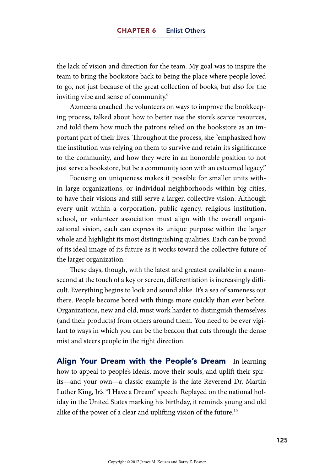the lack of vision and direction for the team. My goal was to inspire the team to bring the bookstore back to being the place where people loved to go, not just because of the great collection of books, but also for the inviting vibe and sense of community."

Azmeena coached the volunteers on ways to improve the bookkeeping process, talked about how to better use the store's scarce resources, and told them how much the patrons relied on the bookstore as an important part of their lives. Throughout the process, she "emphasized how the institution was relying on them to survive and retain its significance to the community, and how they were in an honorable position to not just serve a bookstore, but be a community icon with an esteemed legacy."

Focusing on uniqueness makes it possible for smaller units within large organizations, or individual neighborhoods within big cities, to have their visions and still serve a larger, collective vision. Although every unit within a corporation, public agency, religious institution, school, or volunteer association must align with the overall organizational vision, each can express its unique purpose within the larger whole and highlight its most distinguishing qualities. Each can be proud of its ideal image of its future as it works toward the collective future of the larger organization.

These days, though, with the latest and greatest available in a nanosecond at the touch of a key or screen, differentiation is increasingly difficult. Everything begins to look and sound alike. It's a sea of sameness out there. People become bored with things more quickly than ever before. Organizations, new and old, must work harder to distinguish themselves (and their products) from others around them. You need to be ever vigilant to ways in which you can be the beacon that cuts through the dense mist and steers people in the right direction.

Align Your Dream with the People's Dream In learning how to appeal to people's ideals, move their souls, and uplift their spirits—and your own—a classic example is the late Reverend Dr. Martin Luther King, Jr.'s "I Have a Dream" speech. Replayed on the national holiday in the United States marking his birthday, it reminds young and old alike of the power of a clear and uplifting vision of the future.<sup>10</sup>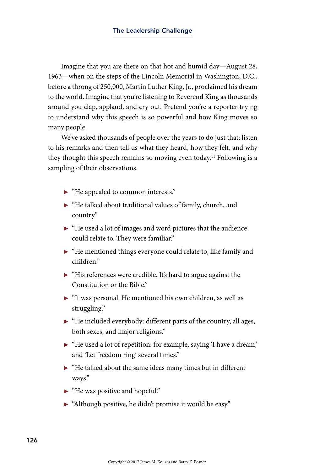Imagine that you are there on that hot and humid day—August 28, 1963—when on the steps of the Lincoln Memorial in Washington, D.C., before a throng of 250,000, Martin Luther King, Jr., proclaimed his dream to the world. Imagine that you're listening to Reverend King as thousands around you clap, applaud, and cry out. Pretend you're a reporter trying to understand why this speech is so powerful and how King moves so many people.

We've asked thousands of people over the years to do just that; listen to his remarks and then tell us what they heard, how they felt, and why they thought this speech remains so moving even today.<sup>11</sup> Following is a sampling of their observations.

- ► "He appealed to common interests."
- "He talked about traditional values of family, church, and country."
- ► "He used a lot of images and word pictures that the audience could relate to. They were familiar."
- "He mentioned things everyone could relate to, like family and children."
- "His references were credible. It's hard to argue against the Constitution or the Bible."
- "It was personal. He mentioned his own children, as well as struggling."
- "He included everybody: different parts of the country, all ages, both sexes, and major religions."
- ► "He used a lot of repetition: for example, saying 'I have a dream,' and 'Let freedom ring' several times."
- "He talked about the same ideas many times but in different ways."
- "He was positive and hopeful."
- "Although positive, he didn't promise it would be easy."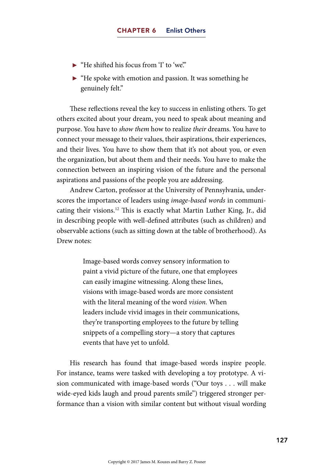- ► "He shifted his focus from 'I' to 'we."
- ► "He spoke with emotion and passion. It was something he genuinely felt."

These reflections reveal the key to success in enlisting others. To get others excited about your dream, you need to speak about meaning and purpose. You have to show them how to realize their dreams. You have to connect your message to their values, their aspirations, their experiences, and their lives. You have to show them that it's not about you, or even the organization, but about them and their needs. You have to make the connection between an inspiring vision of the future and the personal aspirations and passions of the people you are addressing.

Andrew Carton, professor at the University of Pennsylvania, underscores the importance of leaders using *image-based words* in communicating their visions.<sup>12</sup> This is exactly what Martin Luther King, Jr., did in describing people with well-defined attributes (such as children) and observable actions (such as sitting down at the table of brotherhood). As Drew notes:

> Image-based words convey sensory information to paint a vivid picture of the future, one that employees can easily imagine witnessing. Along these lines, visions with image-based words are more consistent with the literal meaning of the word vision. When leaders include vivid images in their communications, they're transporting employees to the future by telling snippets of a compelling story—a story that captures events that have yet to unfold.

His research has found that image-based words inspire people. For instance, teams were tasked with developing a toy prototype. A vision communicated with image-based words ("Our toys . . . will make wide-eyed kids laugh and proud parents smile") triggered stronger performance than a vision with similar content but without visual wording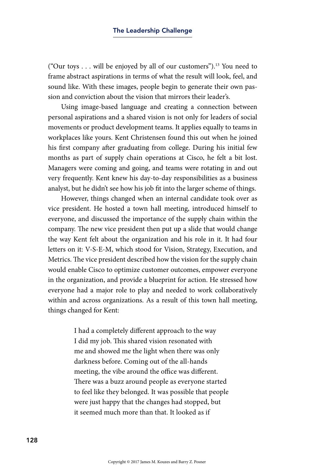("Our toys  $\dots$  will be enjoyed by all of our customers").<sup>13</sup> You need to frame abstract aspirations in terms of what the result will look, feel, and sound like. With these images, people begin to generate their own passion and conviction about the vision that mirrors their leader's.

Using image-based language and creating a connection between personal aspirations and a shared vision is not only for leaders of social movements or product development teams. It applies equally to teams in workplaces like yours. Kent Christensen found this out when he joined his first company after graduating from college. During his initial few months as part of supply chain operations at Cisco, he felt a bit lost. Managers were coming and going, and teams were rotating in and out very frequently. Kent knew his day-to-day responsibilities as a business analyst, but he didn't see how his job fit into the larger scheme of things.

However, things changed when an internal candidate took over as vice president. He hosted a town hall meeting, introduced himself to everyone, and discussed the importance of the supply chain within the company. The new vice president then put up a slide that would change the way Kent felt about the organization and his role in it. It had four letters on it: V-S-E-M, which stood for Vision, Strategy, Execution, and Metrics. The vice president described how the vision for the supply chain would enable Cisco to optimize customer outcomes, empower everyone in the organization, and provide a blueprint for action. He stressed how everyone had a major role to play and needed to work collaboratively within and across organizations. As a result of this town hall meeting, things changed for Kent:

> I had a completely different approach to the way I did my job. This shared vision resonated with me and showed me the light when there was only darkness before. Coming out of the all-hands meeting, the vibe around the office was different. There was a buzz around people as everyone started to feel like they belonged. It was possible that people were just happy that the changes had stopped, but it seemed much more than that. It looked as if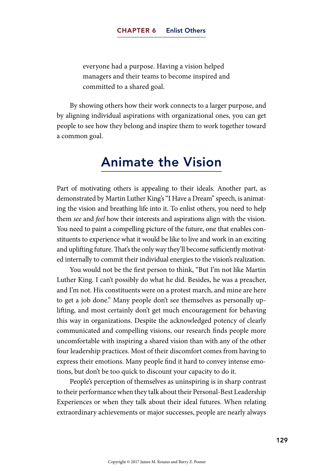everyone had a purpose. Having a vision helped managers and their teams to become inspired and committed to a shared goal.

By showing others how their work connects to a larger purpose, and by aligning individual aspirations with organizational ones, you can get people to see how they belong and inspire them to work together toward a common goal.

#### Animate the Vision

Part of motivating others is appealing to their ideals. Another part, as demonstrated by Martin Luther King's "I Have a Dream" speech, is animating the vision and breathing life into it. To enlist others, you need to help them see and feel how their interests and aspirations align with the vision. You need to paint a compelling picture of the future, one that enables constituents to experience what it would be like to live and work in an exciting and uplifting future. That's the only way they'll become sufficiently motivated internally to commit their individual energies to the vision's realization.

You would not be the first person to think, "But I'm not like Martin Luther King. I can't possibly do what he did. Besides, he was a preacher, and I'm not. His constituents were on a protest march, and mine are here to get a job done." Many people don't see themselves as personally uplifting, and most certainly don't get much encouragement for behaving this way in organizations. Despite the acknowledged potency of clearly communicated and compelling visions, our research finds people more uncomfortable with inspiring a shared vision than with any of the other four leadership practices. Most of their discomfort comes from having to express their emotions. Many people find it hard to convey intense emotions, but don't be too quick to discount your capacity to do it.

People's perception of themselves as uninspiring is in sharp contrast to their performance when they talk about their Personal-Best Leadership Experiences or when they talk about their ideal futures. When relating extraordinary achievements or major successes, people are nearly always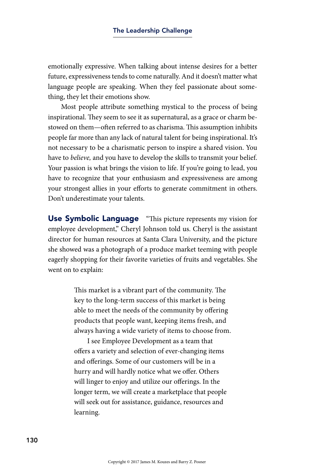emotionally expressive. When talking about intense desires for a better future, expressiveness tends to come naturally. And it doesn't matter what language people are speaking. When they feel passionate about something, they let their emotions show.

Most people attribute something mystical to the process of being inspirational. They seem to see it as supernatural, as a grace or charm bestowed on them—often referred to as charisma. This assumption inhibits people far more than any lack of natural talent for being inspirational. It's not necessary to be a charismatic person to inspire a shared vision. You have to believe, and you have to develop the skills to transmit your belief. Your passion is what brings the vision to life. If you're going to lead, you have to recognize that your enthusiasm and expressiveness are among your strongest allies in your efforts to generate commitment in others. Don't underestimate your talents.

**Use Symbolic Language** "This picture represents my vision for employee development," Cheryl Johnson told us. Cheryl is the assistant director for human resources at Santa Clara University, and the picture she showed was a photograph of a produce market teeming with people eagerly shopping for their favorite varieties of fruits and vegetables. She went on to explain:

> This market is a vibrant part of the community. The key to the long-term success of this market is being able to meet the needs of the community by offering products that people want, keeping items fresh, and always having a wide variety of items to choose from.

I see Employee Development as a team that offers a variety and selection of ever-changing items and offerings. Some of our customers will be in a hurry and will hardly notice what we offer. Others will linger to enjoy and utilize our offerings. In the longer term, we will create a marketplace that people will seek out for assistance, guidance, resources and learning.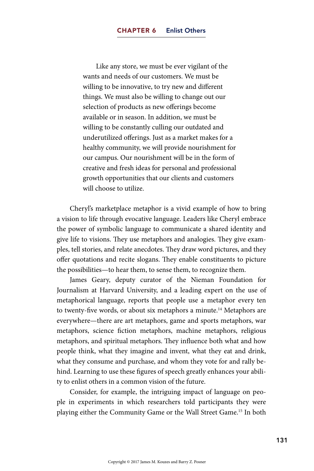Like any store, we must be ever vigilant of the wants and needs of our customers. We must be willing to be innovative, to try new and different things. We must also be willing to change out our selection of products as new offerings become available or in season. In addition, we must be willing to be constantly culling our outdated and underutilized offerings. Just as a market makes for a healthy community, we will provide nourishment for our campus. Our nourishment will be in the form of creative and fresh ideas for personal and professional growth opportunities that our clients and customers will choose to utilize.

Cheryl's marketplace metaphor is a vivid example of how to bring a vision to life through evocative language. Leaders like Cheryl embrace the power of symbolic language to communicate a shared identity and give life to visions. They use metaphors and analogies. They give examples, tell stories, and relate anecdotes. They draw word pictures, and they offer quotations and recite slogans. They enable constituents to picture the possibilities—to hear them, to sense them, to recognize them.

James Geary, deputy curator of the Nieman Foundation for Journalism at Harvard University, and a leading expert on the use of metaphorical language, reports that people use a metaphor every ten to twenty-five words, or about six metaphors a minute.<sup>14</sup> Metaphors are everywhere—there are art metaphors, game and sports metaphors, war metaphors, science fiction metaphors, machine metaphors, religious metaphors, and spiritual metaphors. They influence both what and how people think, what they imagine and invent, what they eat and drink, what they consume and purchase, and whom they vote for and rally behind. Learning to use these figures of speech greatly enhances your ability to enlist others in a common vision of the future.

Consider, for example, the intriguing impact of language on people in experiments in which researchers told participants they were playing either the Community Game or the Wall Street Game.15 In both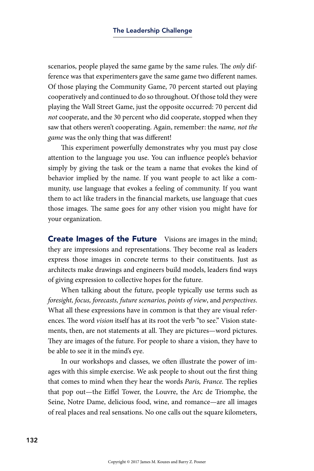scenarios, people played the same game by the same rules. The only difference was that experimenters gave the same game two different names. Of those playing the Community Game, 70 percent started out playing cooperatively and continued to do so throughout. Of those told they were playing the Wall Street Game, just the opposite occurred: 70 percent did not cooperate, and the 30 percent who did cooperate, stopped when they saw that others weren't cooperating. Again, remember: the name, not the game was the only thing that was different!

This experiment powerfully demonstrates why you must pay close attention to the language you use. You can influence people's behavior simply by giving the task or the team a name that evokes the kind of behavior implied by the name. If you want people to act like a community, use language that evokes a feeling of community. If you want them to act like traders in the financial markets, use language that cues those images. The same goes for any other vision you might have for your organization.

**Create Images of the Future** Visions are images in the mind; they are impressions and representations. They become real as leaders express those images in concrete terms to their constituents. Just as architects make drawings and engineers build models, leaders find ways of giving expression to collective hopes for the future.

When talking about the future, people typically use terms such as foresight, focus, forecasts, future scenarios, points of view, and perspectives. What all these expressions have in common is that they are visual references. The word vision itself has at its root the verb "to see." Vision statements, then, are not statements at all. They are pictures—word pictures. They are images of the future. For people to share a vision, they have to be able to see it in the mind's eye.

In our workshops and classes, we often illustrate the power of images with this simple exercise. We ask people to shout out the first thing that comes to mind when they hear the words Paris, France. The replies that pop out—the Eiffel Tower, the Louvre, the Arc de Triomphe, the Seine, Notre Dame, delicious food, wine, and romance—are all images of real places and real sensations. No one calls out the square kilometers,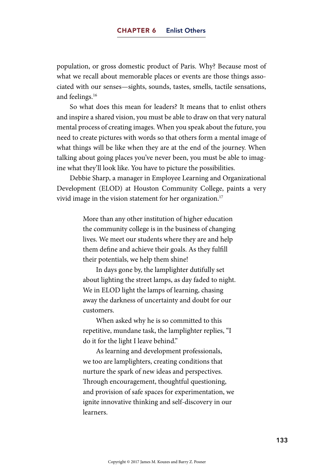population, or gross domestic product of Paris. Why? Because most of what we recall about memorable places or events are those things associated with our senses—sights, sounds, tastes, smells, tactile sensations, and feelings.<sup>16</sup>

So what does this mean for leaders? It means that to enlist others and inspire a shared vision, you must be able to draw on that very natural mental process of creating images. When you speak about the future, you need to create pictures with words so that others form a mental image of what things will be like when they are at the end of the journey. When talking about going places you've never been, you must be able to imagine what they'll look like. You have to picture the possibilities.

Debbie Sharp, a manager in Employee Learning and Organizational Development (ELOD) at Houston Community College, paints a very vivid image in the vision statement for her organization.<sup>17</sup>

> More than any other institution of higher education the community college is in the business of changing lives. We meet our students where they are and help them define and achieve their goals. As they fulfill their potentials, we help them shine!

> In days gone by, the lamplighter dutifully set about lighting the street lamps, as day faded to night. We in ELOD light the lamps of learning, chasing away the darkness of uncertainty and doubt for our customers.

When asked why he is so committed to this repetitive, mundane task, the lamplighter replies, "I do it for the light I leave behind."

As learning and development professionals, we too are lamplighters, creating conditions that nurture the spark of new ideas and perspectives. Through encouragement, thoughtful questioning, and provision of safe spaces for experimentation, we ignite innovative thinking and self-discovery in our learners.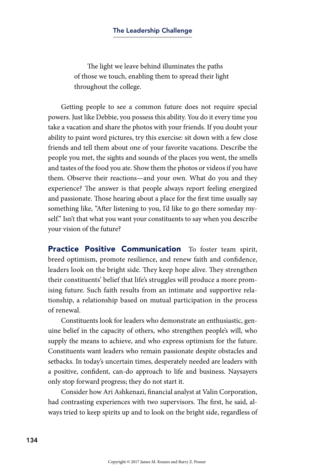The light we leave behind illuminates the paths of those we touch, enabling them to spread their light throughout the college.

Getting people to see a common future does not require special powers. Just like Debbie, you possess this ability. You do it every time you take a vacation and share the photos with your friends. If you doubt your ability to paint word pictures, try this exercise: sit down with a few close friends and tell them about one of your favorite vacations. Describe the people you met, the sights and sounds of the places you went, the smells and tastes of the food you ate. Show them the photos or videos if you have them. Observe their reactions—and your own. What do you and they experience? The answer is that people always report feeling energized and passionate. Those hearing about a place for the first time usually say something like, "After listening to you, I'd like to go there someday myself." Isn't that what you want your constituents to say when you describe your vision of the future?

Practice Positive Communication To foster team spirit, breed optimism, promote resilience, and renew faith and confidence, leaders look on the bright side. They keep hope alive. They strengthen their constituents' belief that life's struggles will produce a more promising future. Such faith results from an intimate and supportive relationship, a relationship based on mutual participation in the process of renewal.

Constituents look for leaders who demonstrate an enthusiastic, genuine belief in the capacity of others, who strengthen people's will, who supply the means to achieve, and who express optimism for the future. Constituents want leaders who remain passionate despite obstacles and setbacks. In today's uncertain times, desperately needed are leaders with a positive, confident, can-do approach to life and business. Naysayers only stop forward progress; they do not start it.

Consider how Ari Ashkenazi, financial analyst at Valin Corporation, had contrasting experiences with two supervisors. The first, he said, always tried to keep spirits up and to look on the bright side, regardless of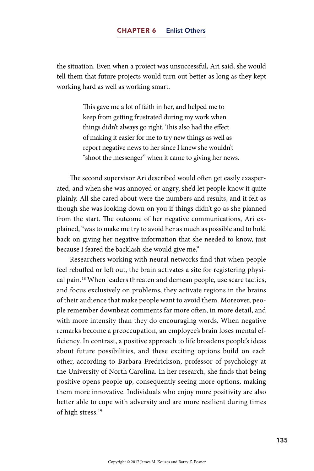the situation. Even when a project was unsuccessful, Ari said, she would tell them that future projects would turn out better as long as they kept working hard as well as working smart.

> This gave me a lot of faith in her, and helped me to keep from getting frustrated during my work when things didn't always go right. This also had the effect of making it easier for me to try new things as well as report negative news to her since I knew she wouldn't "shoot the messenger" when it came to giving her news.

The second supervisor Ari described would often get easily exasperated, and when she was annoyed or angry, she'd let people know it quite plainly. All she cared about were the numbers and results, and it felt as though she was looking down on you if things didn't go as she planned from the start. The outcome of her negative communications, Ari explained, "was to make me try to avoid her as much as possible and to hold back on giving her negative information that she needed to know, just because I feared the backlash she would give me."

Researchers working with neural networks find that when people feel rebuffed or left out, the brain activates a site for registering physical pain.<sup>18</sup> When leaders threaten and demean people, use scare tactics, and focus exclusively on problems, they activate regions in the brains of their audience that make people want to avoid them. Moreover, people remember downbeat comments far more often, in more detail, and with more intensity than they do encouraging words. When negative remarks become a preoccupation, an employee's brain loses mental efficiency. In contrast, a positive approach to life broadens people's ideas about future possibilities, and these exciting options build on each other, according to Barbara Fredrickson, professor of psychology at the University of North Carolina. In her research, she finds that being positive opens people up, consequently seeing more options, making them more innovative. Individuals who enjoy more positivity are also better able to cope with adversity and are more resilient during times of high stress.<sup>19</sup>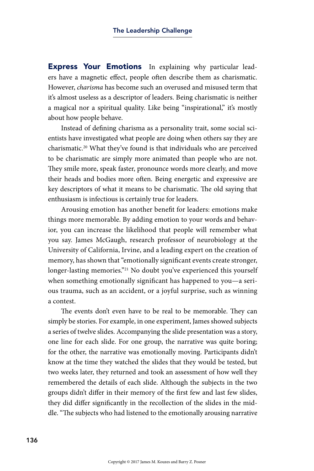**Express Your Emotions** In explaining why particular leaders have a magnetic effect, people often describe them as charismatic. However, charisma has become such an overused and misused term that it's almost useless as a descriptor of leaders. Being charismatic is neither a magical nor a spiritual quality. Like being "inspirational," it's mostly about how people behave.

Instead of defining charisma as a personality trait, some social scientists have investigated what people are doing when others say they are charismatic.<sup>20</sup> What they've found is that individuals who are perceived to be charismatic are simply more animated than people who are not. They smile more, speak faster, pronounce words more clearly, and move their heads and bodies more often. Being energetic and expressive are key descriptors of what it means to be charismatic. The old saying that enthusiasm is infectious is certainly true for leaders.

Arousing emotion has another benefit for leaders: emotions make things more memorable. By adding emotion to your words and behavior, you can increase the likelihood that people will remember what you say. James McGaugh, research professor of neurobiology at the University of California, Irvine, and a leading expert on the creation of memory, has shown that "emotionally significant events create stronger, longer-lasting memories."<sup>21</sup> No doubt you've experienced this yourself when something emotionally significant has happened to you—a serious trauma, such as an accident, or a joyful surprise, such as winning a contest.

The events don't even have to be real to be memorable. They can simply be stories. For example, in one experiment, James showed subjects a series of twelve slides. Accompanying the slide presentation was a story, one line for each slide. For one group, the narrative was quite boring; for the other, the narrative was emotionally moving. Participants didn't know at the time they watched the slides that they would be tested, but two weeks later, they returned and took an assessment of how well they remembered the details of each slide. Although the subjects in the two groups didn't differ in their memory of the first few and last few slides, they did differ significantly in the recollection of the slides in the middle. "The subjects who had listened to the emotionally arousing narrative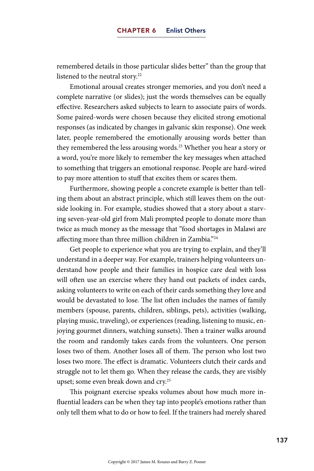remembered details in those particular slides better" than the group that listened to the neutral story.<sup>22</sup>

Emotional arousal creates stronger memories, and you don't need a complete narrative (or slides); just the words themselves can be equally effective. Researchers asked subjects to learn to associate pairs of words. Some paired-words were chosen because they elicited strong emotional responses (as indicated by changes in galvanic skin response). One week later, people remembered the emotionally arousing words better than they remembered the less arousing words.<sup>23</sup> Whether you hear a story or a word, you're more likely to remember the key messages when attached to something that triggers an emotional response. People are hard-wired to pay more attention to stuff that excites them or scares them.

Furthermore, showing people a concrete example is better than telling them about an abstract principle, which still leaves them on the outside looking in. For example, studies showed that a story about a starving seven-year-old girl from Mali prompted people to donate more than twice as much money as the message that "food shortages in Malawi are affecting more than three million children in Zambia."24

Get people to experience what you are trying to explain, and they'll understand in a deeper way. For example, trainers helping volunteers understand how people and their families in hospice care deal with loss will often use an exercise where they hand out packets of index cards, asking volunteers to write on each of their cards something they love and would be devastated to lose. The list often includes the names of family members (spouse, parents, children, siblings, pets), activities (walking, playing music, traveling), or experiences (reading, listening to music, enjoying gourmet dinners, watching sunsets). Then a trainer walks around the room and randomly takes cards from the volunteers. One person loses two of them. Another loses all of them. The person who lost two loses two more. The effect is dramatic. Volunteers clutch their cards and struggle not to let them go. When they release the cards, they are visibly upset; some even break down and cry.<sup>25</sup>

This poignant exercise speaks volumes about how much more influential leaders can be when they tap into people's emotions rather than only tell them what to do or how to feel. If the trainers had merely shared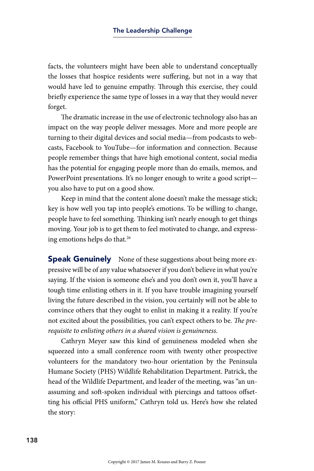facts, the volunteers might have been able to understand conceptually the losses that hospice residents were suffering, but not in a way that would have led to genuine empathy. Through this exercise, they could briefly experience the same type of losses in a way that they would never forget.

The dramatic increase in the use of electronic technology also has an impact on the way people deliver messages. More and more people are turning to their digital devices and social media—from podcasts to webcasts, Facebook to YouTube—for information and connection. Because people remember things that have high emotional content, social media has the potential for engaging people more than do emails, memos, and PowerPoint presentations. It's no longer enough to write a good script you also have to put on a good show.

Keep in mind that the content alone doesn't make the message stick; key is how well you tap into people's emotions. To be willing to change, people have to feel something. Thinking isn't nearly enough to get things moving. Your job is to get them to feel motivated to change, and expressing emotions helps do that.<sup>26</sup>

**Speak Genuinely** None of these suggestions about being more expressive will be of any value whatsoever if you don't believe in what you're saying. If the vision is someone else's and you don't own it, you'll have a tough time enlisting others in it. If you have trouble imagining yourself living the future described in the vision, you certainly will not be able to convince others that they ought to enlist in making it a reality. If you're not excited about the possibilities, you can't expect others to be. The prerequisite to enlisting others in a shared vision is genuineness.

Cathryn Meyer saw this kind of genuineness modeled when she squeezed into a small conference room with twenty other prospective volunteers for the mandatory two-hour orientation by the Peninsula Humane Society (PHS) Wildlife Rehabilitation Department. Patrick, the head of the Wildlife Department, and leader of the meeting, was "an unassuming and soft-spoken individual with piercings and tattoos offsetting his official PHS uniform," Cathryn told us. Here's how she related the story: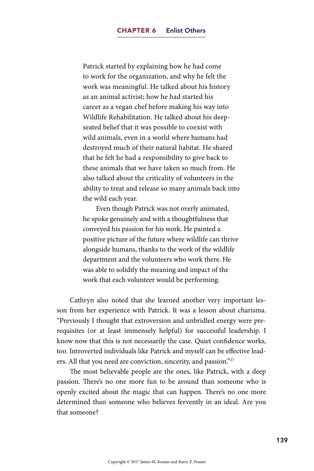Patrick started by explaining how he had come to work for the organization, and why he felt the work was meaningful. He talked about his history as an animal activist; how he had started his career as a vegan chef before making his way into Wildlife Rehabilitation. He talked about his deepseated belief that it was possible to coexist with wild animals, even in a world where humans had destroyed much of their natural habitat. He shared that he felt he had a responsibility to give back to these animals that we have taken so much from. He also talked about the criticality of volunteers in the ability to treat and release so many animals back into the wild each year.

Even though Patrick was not overly animated, he spoke genuinely and with a thoughtfulness that conveyed his passion for his work. He painted a positive picture of the future where wildlife can thrive alongside humans, thanks to the work of the wildlife department and the volunteers who work there. He was able to solidify the meaning and impact of the work that each volunteer would be performing.

Cathryn also noted that she learned another very important lesson from her experience with Patrick. It was a lesson about charisma. "Previously I thought that extroversion and unbridled energy were prerequisites (or at least immensely helpful) for successful leadership. I know now that this is not necessarily the case. Quiet confidence works, too. Introverted individuals like Patrick and myself can be effective leaders. All that you need are conviction, sincerity, and passion."<sup>27</sup>

The most believable people are the ones, like Patrick, with a deep passion. There's no one more fun to be around than someone who is openly excited about the magic that can happen. There's no one more determined than someone who believes fervently in an ideal. Are you that someone?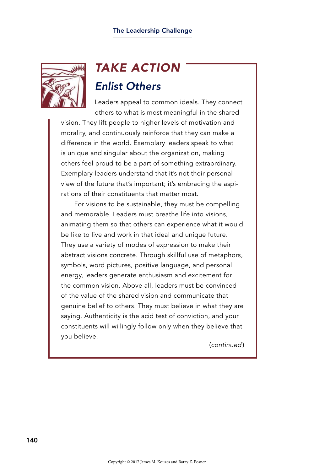#### TAKE ACTION Enlist Others

Leaders appeal to common ideals. They connect others to what is most meaningful in the shared

vision. They lift people to higher levels of motivation and morality, and continuously reinforce that they can make a difference in the world. Exemplary leaders speak to what is unique and singular about the organization, making others feel proud to be a part of something extraordinary. Exemplary leaders understand that it's not their personal view of the future that's important; it's embracing the aspirations of their constituents that matter most.

For visions to be sustainable, they must be compelling and memorable. Leaders must breathe life into visions, animating them so that others can experience what it would be like to live and work in that ideal and unique future. They use a variety of modes of expression to make their abstract visions concrete. Through skillful use of metaphors, symbols, word pictures, positive language, and personal energy, leaders generate enthusiasm and excitement for the common vision. Above all, leaders must be convinced of the value of the shared vision and communicate that genuine belief to others. They must believe in what they are saying. Authenticity is the acid test of conviction, and your constituents will willingly follow only when they believe that you believe.

(continued )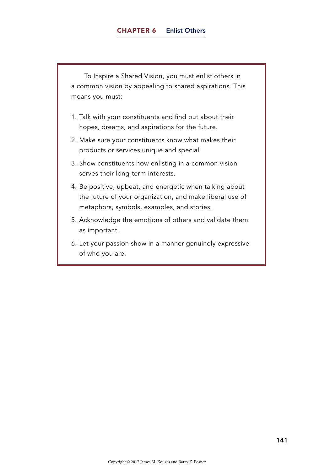To Inspire a Shared Vision, you must enlist others in a common vision by appealing to shared aspirations. This means you must:

- 1. Talk with your constituents and find out about their hopes, dreams, and aspirations for the future.
- 2. Make sure your constituents know what makes their products or services unique and special.
- 3. Show constituents how enlisting in a common vision serves their long-term interests.
- 4. Be positive, upbeat, and energetic when talking about the future of your organization, and make liberal use of metaphors, symbols, examples, and stories.
- 5. Acknowledge the emotions of others and validate them as important.
- 6. Let your passion show in a manner genuinely expressive of who you are.